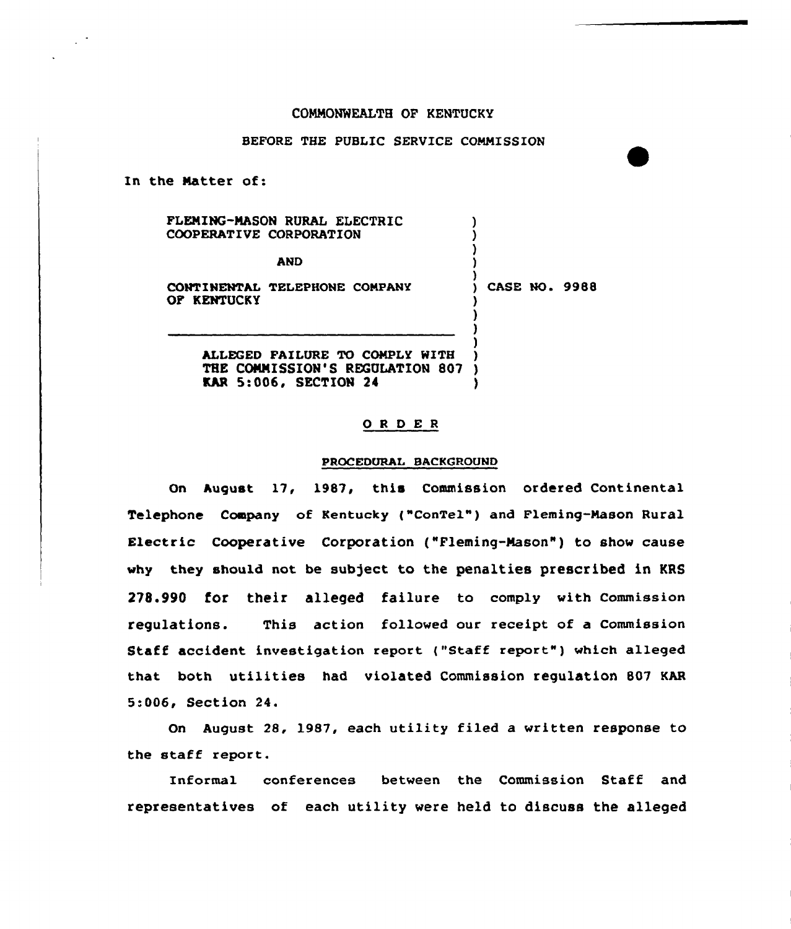### COMMONWEALTH OP KENTUCKY

# BEFORE THE PUBLIC SERVICE COMMISSION

In the Natter of:

PLENING-NASON RURAL ELECTRIC COOPERATIVE CORPORATION

AND )

CONTINENTAL TELEPHONE COMPANY OF KENTUCKY

)<br>) CASE NO. 9988

) ) )

> ) ) )

ALLEGED FAILURE TO COMPLY WITH THE CONNISSION'S REGULATION SO? ) **KAR 5:006, SECTION 24** 

#### 0 <sup>R</sup> <sup>D</sup> E <sup>R</sup>

#### PROCEDURAL BACKGROUND

On August 17, 198?, this Commission ordered Continental Telephone Company of Kentucky {"ConTel") and Fleming-Mason Rural Electric Cooperative Corporation ("Fleming-Nason") to show cause why they should not be subject to the penalties prescribed in KRS 278.990 for their alleged failure to comply with Commission regulations. This action followed our receipt of a Commission Staff accident investigation report {"Staff report.") which alleged that both utilities had violated Commission regulation B07 KAR 5:006, Section 24.

On August 28, 1987, each utility filed a written response to the staff report.

Informal conferences between the Commission Staff and representatives of each utility were held to discuss the alleged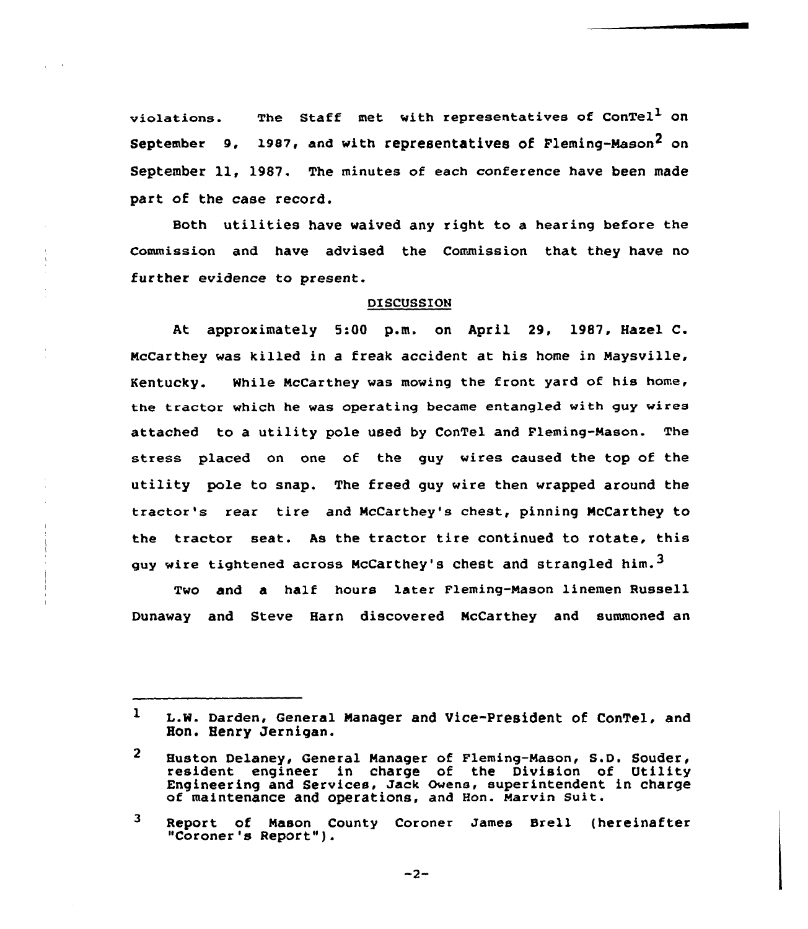violations. The Staff met with representatives of ConTel<sup>1</sup> on September 9, 1987, and with representatives of Fleming-Mason<sup>2</sup> on September 11, 1987. The minutes of each conference have been made part of the case record.

Both utilities have waived any right to a hearing before the Commission and have advised the Commission that they have no further evidence to present.

#### DISCUSSION

At approximately 5:00 p.m. on April 29, 1987, Hazel C. NcCarthey was killed in a freak accident at his home in Naysville, Kentucky. While NcCarthey was mowing the front yard of his home, the tractor which he was operating became entangled with guy wires attached to a utility pole used by ConTel and Fleming-Nason. The stress placed on one of the guy wires caused the top of the utility pole to snap. The freed guy wire then wrapped around the tractor's rear tire and McCarthey's chest, pinning McCarthey to the tractor seat. As the tractor tire continued to rotate, this guy wire tightened across McCarthey's chest and strangled him.<sup>3</sup>

Two and a half hours later Fleming-Mason linemen Russell Dunaway and Steve Harn discovered NcCarthey and summoned an

3 Report of Mason County Coroner James Brell (hereinafter "Coroner's Report").

 $-2-$ 

<sup>1</sup> L.W. Darden, General Manager and Vice-President of ConTel, and Hon. Henry Jernigan.

<sup>2</sup> Huston Delaney, General Manager of Fleming-Mason, S.D. Souder <sup>&</sup>lt; resident engineer in charge of the Division of Utility Engineering and Services, Jack Owens, superintendent in charge of maintenance and operations, and Hon. Marvin suit.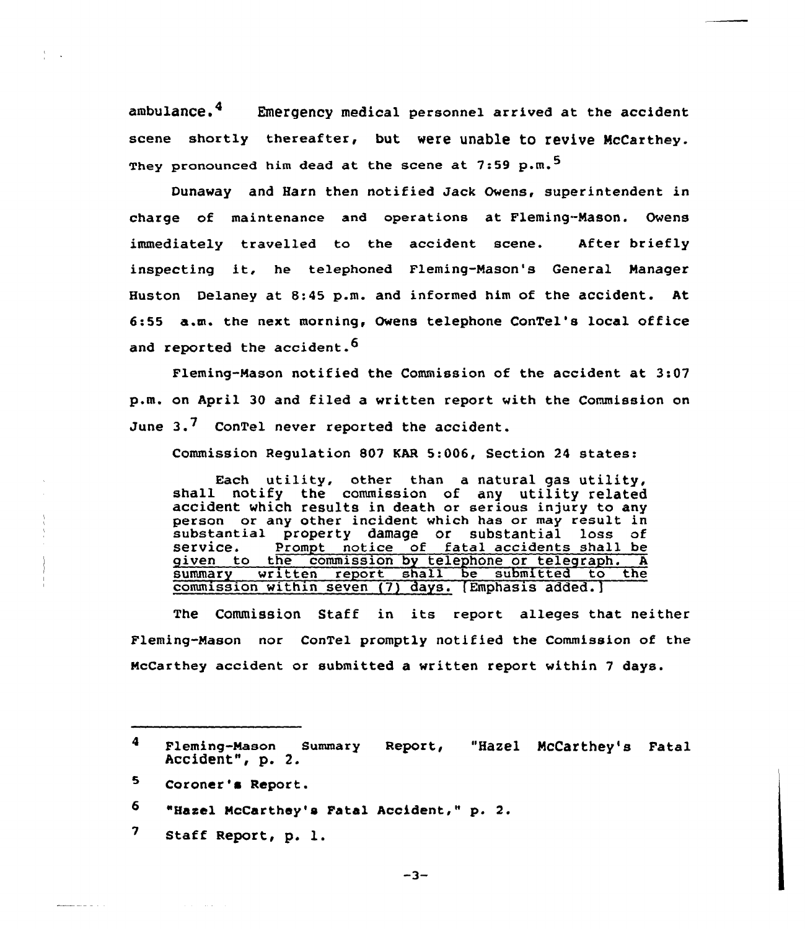ambulance.<sup>4</sup> Emergency medical personnel arrived at the accident scene shortly thereafter, but were unable to revive McCarthey. They pronounced him dead at the scene at 7:59 p.m.<sup>5</sup>

Dunaway and Harn then notified Jack Owens, superintendent in charge of maintenance and operations at Fleming-Mason. Ovens immediately travelled to the accident scene. After briefly inspecting it, he telephoned Fleming-Mason's General Nanager Huston Delaney at 8:45 p.m. and informed him of the accident. At 6:55 a.m. the next, morning, Owens telephone ConTel's local office and reported the accident.<sup>6</sup>

Fleming-Mason notified the Commission of the accident at 3:07 p.m. on April 30 and filed a vritten report with the Commission on June  $3.7$  ConTel never reported the accident.

Commission Regulation 807 KAR 5:006, Section <sup>24</sup> states:

Each utility, other than <sup>a</sup> natural gas utility, shall notify the commission of any utility related accident which results in death or serious injury to any person or any other incident which has or may result in substantial property damage or substantial loss of service. prompt notice of fatal accidents shall be given to the commission by telephone or telegraph. A<br>summary written report shall be submitted to the written report shall be submitted to the commission within seven (7) days. [Emphasis added.]

The Commission Staff in its report alleges that neither Fleming-Mason nor ConTel promptly notified the Commission of the NcCarthey accident or submitted a written report within 7 days.

- 5 Coroner's Rcport.
- 6 "Hascl NcCarthey's Fatal Accident," p. 2.
- 7 Staff Report, p. l.

 $\mathbf{4}$ Fleming-Mason Summary Report, "Hazel NcCarthey's Fatal Accident", p. 2.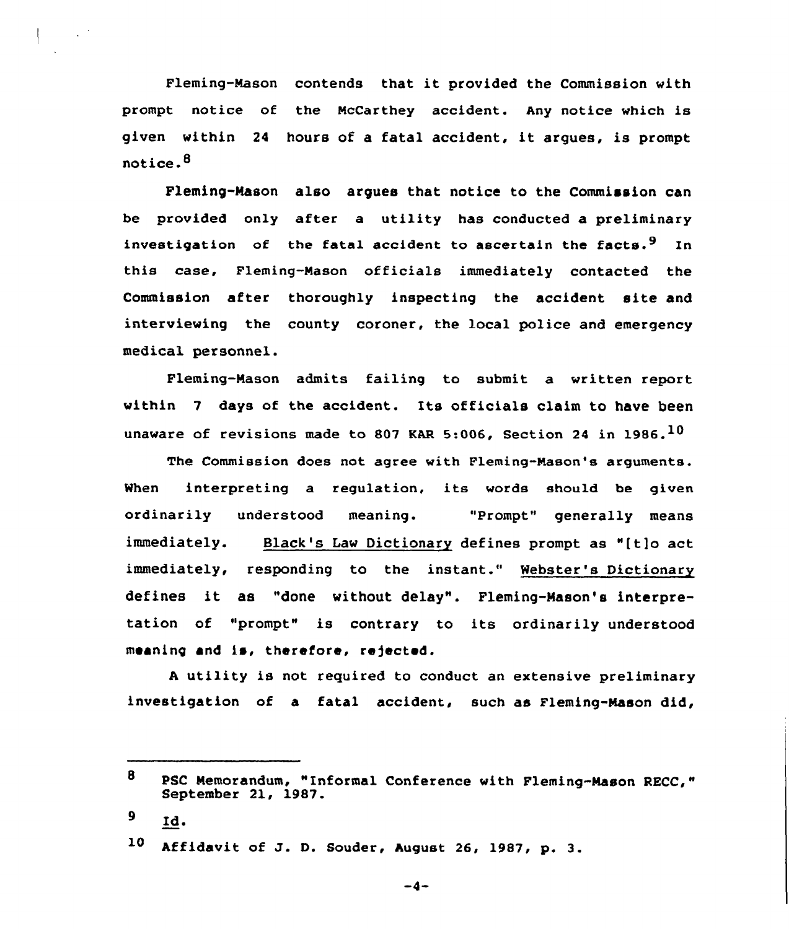Fleming-Mason contends that it provided the Commission with prompt notice of the NcCarthey accident. Any notice which is given within <sup>24</sup> hours of <sup>a</sup> fatal accident, it argues, is prompt notice. $<sup>8</sup>$ </sup>

Fleming-Mason also argues that notice to the Commission can be provided only after a utility has conducted a preliminary investigation of the fatal accident to ascertain the facts.<sup>9</sup> In this case, Fleming-Mason officials immediately contacted the Commission after thoroughly inspecting the accident site and interviewing the county coroner, the local police and emergency medical personnel.

Fleming-Mason admits failing to submit a written report within <sup>7</sup> days of the accident. Its officials claim to have been unaware of revisions made to 807 KAR 5:006. Section 24 in 1986.<sup>10</sup>

The Commission does not, agree with Fleming-Nason's arguments. When interpreting a regulation, its words should be given ordinarily understood meaning. "Prompt" generally means immediately. Black's Law Dictionary defines prompt as "(tjo act immediately, responding to the instant." Webster's Dictionary defines it as "done without delay". Fleming-Mason's interpretation of "prompt" is contrary to its ordinarily understood meaning and is, therefore, rejected.

A utility is not required to conduct an extensive preliminary investigation of a fatal accident, such as Fleming-Nason did,

9 Zd.

 $-4-$ 

<sup>8</sup> PSC Nemorandum, "Informal Conference with Fleming-Mason RECC," September 21, 1987.

<sup>10</sup> Affidavit of J. D. Souder, August 26, 1987, p. 3.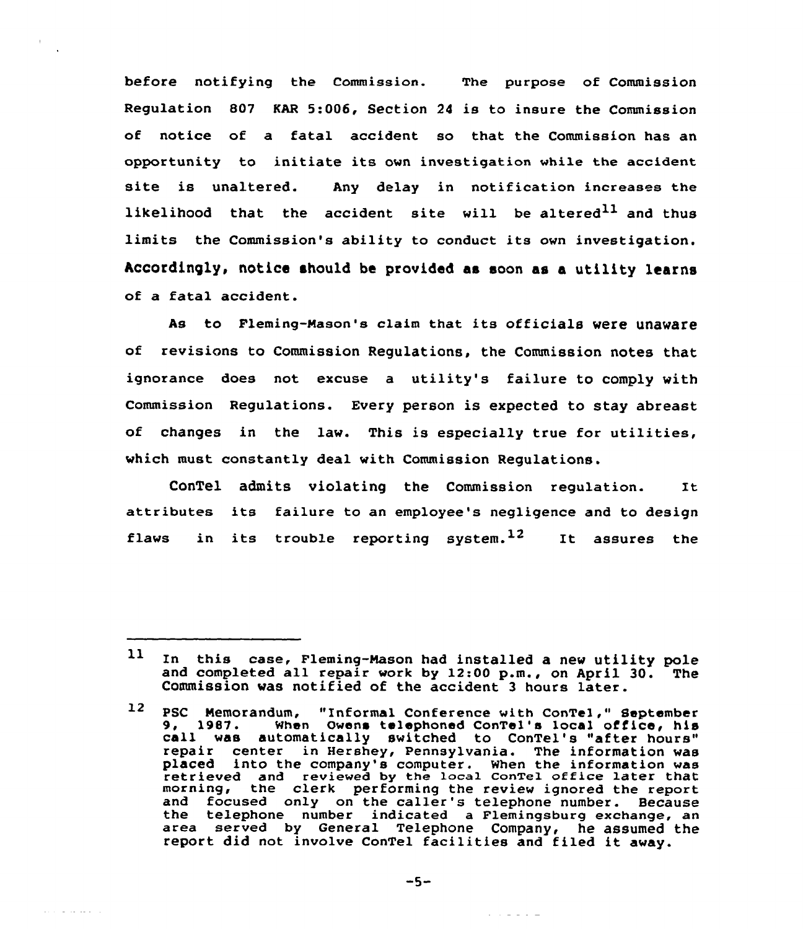before notifying the Commission. The purpose of Commission Regulation 807 KAR 5:006, Section <sup>24</sup> is to insure the Commission of notice of a fatal accident so that the Commission has an opportunity to initiate its own investigation while the accident site is unaltered. Any delay in notification increases the likelihood that the accident site will be altered<sup>11</sup> and thus limits the Commission's ability to conduct its own investigation. Accordingly, notice should be provided as soon as a utility learns of a fatal accident.

As to Fleming-Mason's claim that its officials were unaware of revisions to Commission Regulations, the Commission notes that ignorance does not excuse a utility's failure to comply with Commission Regulations. Every person is expected to stay abreast of changes in the law. This is especially true for utilities, which must constantly deal with Commission Regulations.

ConTel admits violating the Commission regulation. It attributes its failure to an employee's negligence and to design flaws in its trouble reporting system.<sup>12</sup> It assures the

and a consequence

 $11$ In this case, Fleming-Mason had installed a new utility pole and completed all repair work by 12:00 p.m., on April 30. The Commission was notified of the accident <sup>3</sup> hours later.

PSC Nemorandum, "Informal Conference with ConTel," September 9, 1987. When Owens telephoned ConTel's local office, his call was automatically switched to ConTel's "after hours" repair center in Hershey, Pennsylvania. The information was placed into the company's computer. When the information was retrieved and reviewed by the local ConTe1 office later that morning, the clerk performing the review ignored the report and focused only on the caller's telephone number. Because the telephone number indicated a Flemingsburg exchange, an area served by General Telephone Company, he assumed the report did not involve ConTel facilities and filed it away.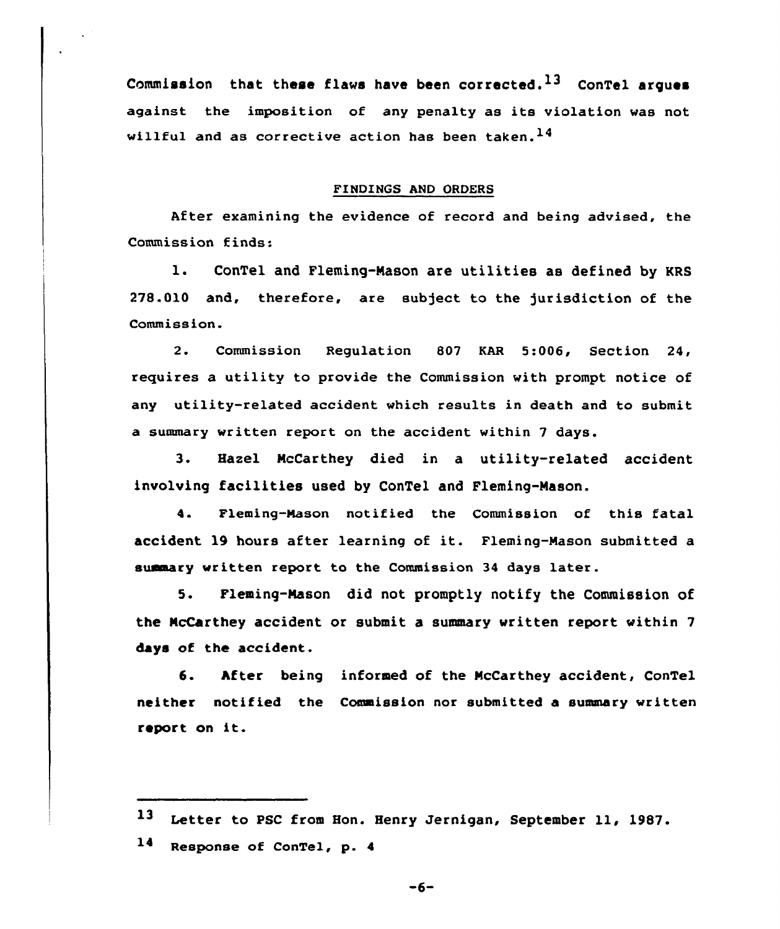Commission that these flaws have been corrected.<sup>13</sup> ConTel argues against the imposition of any penalty as its violation was not willful and as corrective action has been taken.  $^{14}$ 

## FINDINGS AND ORDERS

After examining the evidence of record and being advised, the Commission finds:

l. ConTel and Fleming-Nason are utilities as defined by KRS 278.010 and, therefore, are subject to the )urisdiction of the Commission.

2. Commission Regulation 807 KAR 5:006, Section 24, requires a utility to provide the Commission with prompt notice of any utility-related accident which results in death and to submit a summary written report on the accident within 7 days.

3. Hazel NcCarthey died in a utility-related accident involving facilities used by ConTel and Fleming-Mason.

4. Fleming-Mason notified the Commission of this fatal accident <sup>19</sup> hours after learning of it. Fleming-Mason submitted <sup>a</sup> summary written report to the Commission 34 days later.

5. Fleming-Mason did not promptly notify the Commission of the NcCarthey accident or submit a summary written report within 7 days of the accident.

6. hfter being informed of the HcCarthey accident, ConTel neither notified the Commission nor submitted a summary written report on it.

14 Response of ConTel, p. <sup>4</sup>

 $-6-$ 

<sup>13</sup> Letter to PSC from Hon. Henry Jernigan, September 11, 1987.